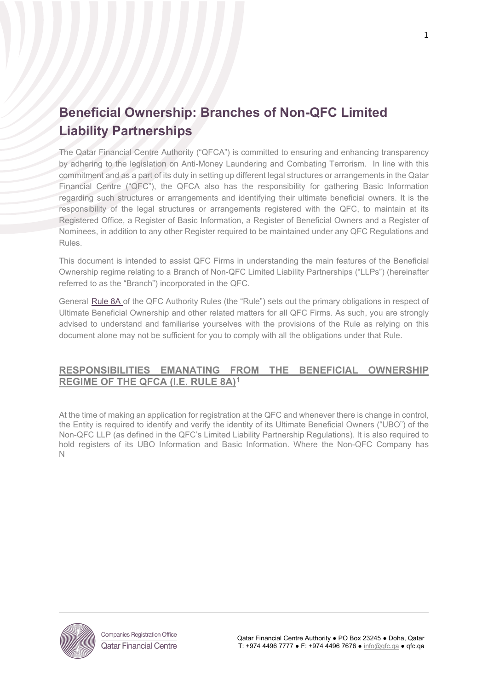# **Beneficial Ownership: Branches of Non-QFC Limited Liability Partnerships**

The Qatar Financial Centre Authority ("QFCA") is committed to ensuring and enhancing transparency by adhering to the legislation on Anti-Money Laundering and Combating Terrorism. In line with this commitment and as a part of its duty in setting up different legal structures or arrangements in the Qatar Financial Centre ("QFC"), the QFCA also has the responsibility for gathering Basic Information regarding such structures or arrangements and identifying their ultimate beneficial owners. It is the responsibility of the legal structures or arrangements registered with the QFC, to maintain at its Registered Office, a Register of Basic Information, a Register of Beneficial Owners and a Register of Nominees, in addition to any other Register required to be maintained under any QFC Regulations and Rules.

This document is intended to assist QFC Firms in understanding the main features of the Beneficial Ownership regime relating to a Branch of Non-QFC Limited Liability Partnerships ("LLPs") (hereinafter referred to as the "Branch") incorporated in the QFC.

General [Rule 8A](https://qfcra-en.thomsonreuters.com/rulebook/qfca-rules-0) of the QFC Authority Rules (the "Rule") sets out the primary obligations in respect of Ultimate Beneficial Ownership and other related matters for all QFC Firms. As such, you are strongly advised to understand and familiarise yourselves with the provisions of the Rule as relying on this document alone may not be sufficient for you to comply with all the obligations under that Rule.

## **RESPONSIBILITIES EMANATING FROM THE BENEFICIAL OWNERSHIP REGIME OF THE QFCA (I.E. RULE 8A)[1](#page-0-0)**

At the time of making an application for registration at the QFC and whenever there is change in control, the Entity is required to identify and verify the identity of its Ultimate Beneficial Owners ("UBO") of the Non-QFC LLP (as defined in the QFC's Limited Liability Partnership Regulations). It is also required to hold registers of its UBO Information and Basic Information. Where the Non-QFC Company has N

<span id="page-0-0"></span>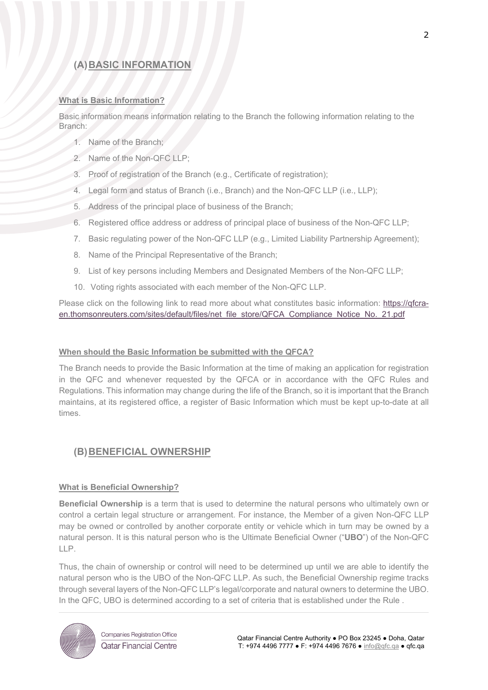# **(A)BASIC INFORMATION**

#### **What is Basic Information?**

Basic information means information relating to the Branch the following information relating to the Branch:

- 1. Name of the Branch;
- 2. Name of the Non-QFC LLP;
- 3. Proof of registration of the Branch (e.g., Certificate of registration);
- 4. Legal form and status of Branch (i.e., Branch) and the Non-QFC LLP (i.e., LLP);
- 5. Address of the principal place of business of the Branch;
- 6. Registered office address or address of principal place of business of the Non-QFC LLP;
- 7. Basic regulating power of the Non-QFC LLP (e.g., Limited Liability Partnership Agreement);
- 8. Name of the Principal Representative of the Branch;
- 9. List of key persons including Members and Designated Members of the Non-QFC LLP;
- 10. Voting rights associated with each member of the Non-QFC LLP.

Please click on the following link to read more about what constitutes basic information: [https://qfcra](https://qfcra-en.thomsonreuters.com/sites/default/files/net_file_store/QFCA_Compliance_Notice_No._21.pdf)[en.thomsonreuters.com/sites/default/files/net\\_file\\_store/QFCA\\_Compliance\\_Notice\\_No.\\_21.pdf](https://qfcra-en.thomsonreuters.com/sites/default/files/net_file_store/QFCA_Compliance_Notice_No._21.pdf)

#### **When should the Basic Information be submitted with the QFCA?**

The Branch needs to provide the Basic Information at the time of making an application for registration in the QFC and whenever requested by the QFCA or in accordance with the QFC Rules and Regulations. This information may change during the life of the Branch, so it is important that the Branch maintains, at its registered office, a register of Basic Information which must be kept up-to-date at all times.

## **(B)BENEFICIAL OWNERSHIP**

#### **What is Beneficial Ownership?**

**Beneficial Ownership** is a term that is used to determine the natural persons who ultimately own or control a certain legal structure or arrangement. For instance, the Member of a given Non-QFC LLP may be owned or controlled by another corporate entity or vehicle which in turn may be owned by a natural person. It is this natural person who is the Ultimate Beneficial Owner ("**UBO**") of the Non-QFC LLP.

Thus, the chain of ownership or control will need to be determined up until we are able to identify the natural person who is the UBO of the Non-QFC LLP. As such, the Beneficial Ownership regime tracks through several layers of the Non-QFC LLP's legal/corporate and natural owners to determine the UBO. In the QFC, UBO is determined according to a set of criteria that is established under the [Rule .](https://qfcra-en.thomsonreuters.com/rulebook/qfca-rules-0)



**Companies Registration Office Qatar Financial Centre**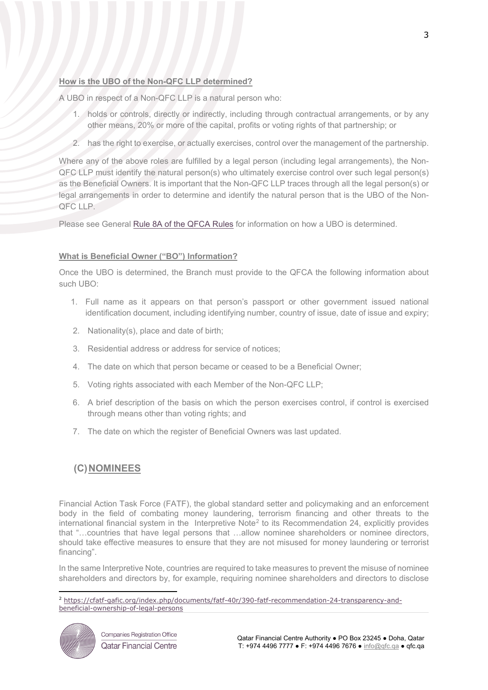#### **How is the UBO of the Non-QFC LLP determined?**

A UBO in respect of a Non-QFC LLP is a natural person who:

- 1. holds or controls, directly or indirectly, including through contractual arrangements, or by any other means, 20% or more of the capital, profits or voting rights of that partnership; or
- 2. has the right to exercise, or actually exercises, control over the management of the partnership.

Where any of the above roles are fulfilled by a legal person (including legal arrangements), the Non-QFC LLP must identify the natural person(s) who ultimately exercise control over such legal person(s) as the Beneficial Owners. It is important that the Non-QFC LLP traces through all the legal person(s) or legal arrangements in order to determine and identify the natural person that is the UBO of the Non-QFC LLP.

Please see General [Rule 8A](https://qfcra-en.thomsonreuters.com/rulebook/qfca-rules-0) of the QFCA Rules for information on how a UBO is determined.

### **What is Beneficial Owner ("BO") Information?**

Once the UBO is determined, the Branch must provide to the QFCA the following information about such UBO:

- 1. Full name as it appears on that person's passport or other government issued national identification document, including identifying number, country of issue, date of issue and expiry;
- 2. Nationality(s), place and date of birth;
- 3. Residential address or address for service of notices;
- 4. The date on which that person became or ceased to be a Beneficial Owner;
- 5. Voting rights associated with each Member of the Non-QFC LLP;
- 6. A brief description of the basis on which the person exercises control, if control is exercised through means other than voting rights; and
- 7. The date on which the register of Beneficial Owners was last updated.

## **(C)NOMINEES**

Financial Action Task Force (FATF), the global standard setter and policymaking and an enforcement body in the field of combating money laundering, terrorism financing and other threats to the international financial system in the Interpretive Note<sup>[2](#page-2-0)</sup> to its Recommendation 24, explicitly provides that "…countries that have legal persons that …allow nominee shareholders or nominee directors, should take effective measures to ensure that they are not misused for money laundering or terrorist financing".

In the same Interpretive Note, countries are required to take measures to prevent the misuse of nominee shareholders and directors by, for example, requiring nominee shareholders and directors to disclose

<span id="page-2-0"></span><sup>2</sup> [https://cfatf-gafic.org/index.php/documents/fatf-40r/390-fatf-recommendation-24-transparency-and](https://cfatf-gafic.org/index.php/documents/fatf-40r/390-fatf-recommendation-24-transparency-and-beneficial-ownership-of-legal-persons)[beneficial-ownership-of-legal-persons](https://cfatf-gafic.org/index.php/documents/fatf-40r/390-fatf-recommendation-24-transparency-and-beneficial-ownership-of-legal-persons)



**Companies Registration Office Qatar Financial Centre**